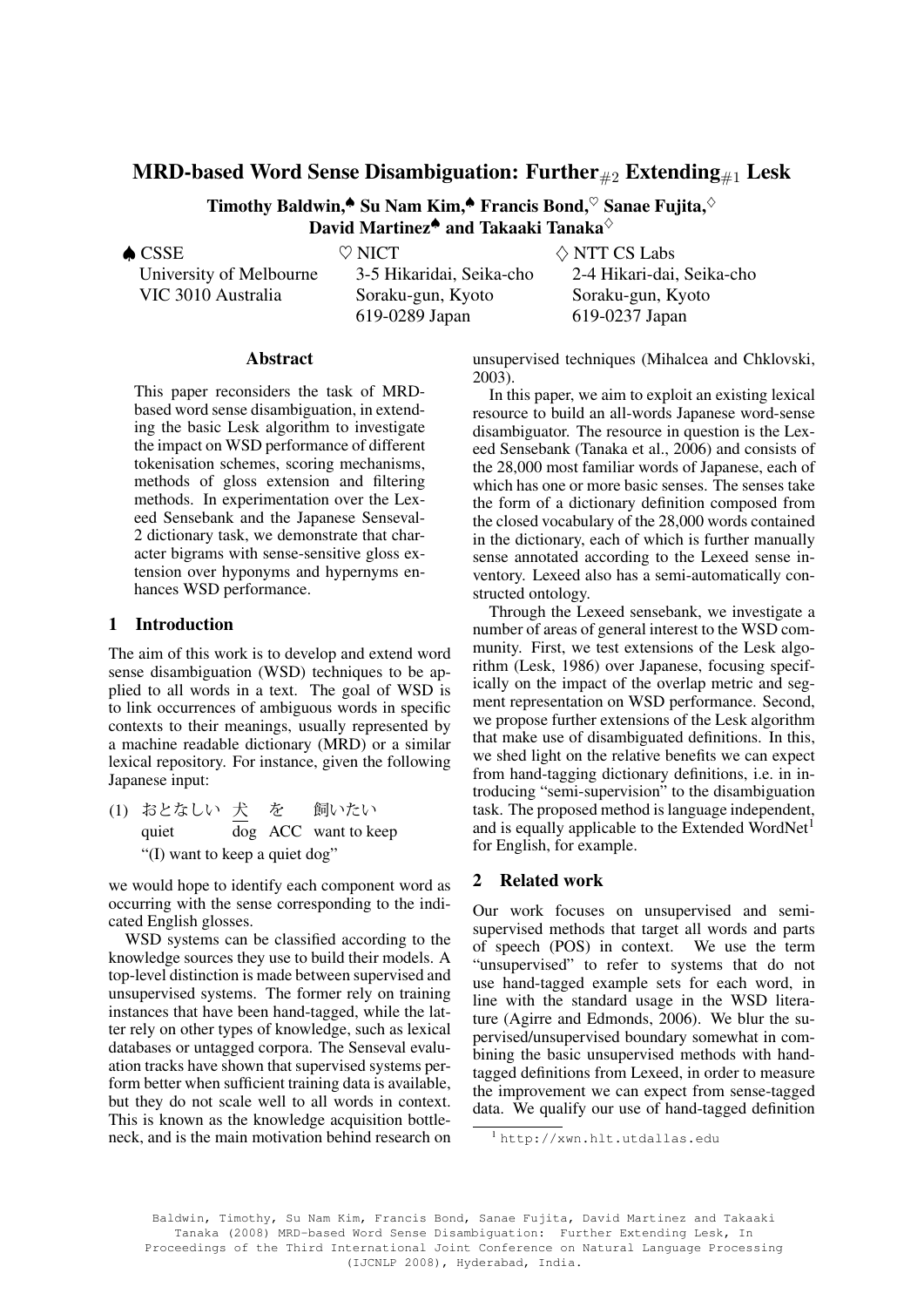# MRD-based Word Sense Disambiguation: Further  $_{#2}$  Extending  $_{#1}$  Lesk

Timothy Baldwin,<sup>▲</sup> Su Nam Kim,<sup>▲</sup> Francis Bond,  $\heartsuit$  Sanae Fujita,  $\diamond$ David Martinez<sup>▲</sup> and Takaaki Tanaka<sup>◇</sup>

♠ CSSE

University of Melbourne VIC 3010 Australia

 $\heartsuit$  NICT

3-5 Hikaridai, Seika-cho Soraku-gun, Kyoto 619-0289 Japan

 $\Diamond$  NTT CS Labs 2-4 Hikari-dai, Seika-cho Soraku-gun, Kyoto 619-0237 Japan

# Abstract

This paper reconsiders the task of MRDbased word sense disambiguation, in extending the basic Lesk algorithm to investigate the impact on WSD performance of different tokenisation schemes, scoring mechanisms, methods of gloss extension and filtering methods. In experimentation over the Lexeed Sensebank and the Japanese Senseval-2 dictionary task, we demonstrate that character bigrams with sense-sensitive gloss extension over hyponyms and hypernyms enhances WSD performance.

# 1 Introduction

The aim of this work is to develop and extend word sense disambiguation (WSD) techniques to be applied to all words in a text. The goal of WSD is to link occurrences of ambiguous words in specific contexts to their meanings, usually represented by a machine readable dictionary (MRD) or a similar lexical repository. For instance, given the following Japanese input:

(1) おとなしい 犬 を quiet dog ACC want to keep 飼いたい "(I) want to keep a quiet dog"

we would hope to identify each component word as occurring with the sense corresponding to the indicated English glosses.

WSD systems can be classified according to the knowledge sources they use to build their models. A top-level distinction is made between supervised and unsupervised systems. The former rely on training instances that have been hand-tagged, while the latter rely on other types of knowledge, such as lexical databases or untagged corpora. The Senseval evaluation tracks have shown that supervised systems perform better when sufficient training data is available, but they do not scale well to all words in context. This is known as the knowledge acquisition bottleneck, and is the main motivation behind research on unsupervised techniques (Mihalcea and Chklovski, 2003).

In this paper, we aim to exploit an existing lexical resource to build an all-words Japanese word-sense disambiguator. The resource in question is the Lexeed Sensebank (Tanaka et al., 2006) and consists of the 28,000 most familiar words of Japanese, each of which has one or more basic senses. The senses take the form of a dictionary definition composed from the closed vocabulary of the 28,000 words contained in the dictionary, each of which is further manually sense annotated according to the Lexeed sense inventory. Lexeed also has a semi-automatically constructed ontology.

Through the Lexeed sensebank, we investigate a number of areas of general interest to the WSD community. First, we test extensions of the Lesk algorithm (Lesk, 1986) over Japanese, focusing specifically on the impact of the overlap metric and segment representation on WSD performance. Second, we propose further extensions of the Lesk algorithm that make use of disambiguated definitions. In this, we shed light on the relative benefits we can expect from hand-tagging dictionary definitions, i.e. in introducing "semi-supervision" to the disambiguation task. The proposed method is language independent, and is equally applicable to the Extended WordNet<sup>1</sup> for English, for example.

### 2 Related work

Our work focuses on unsupervised and semisupervised methods that target all words and parts of speech (POS) in context. We use the term "unsupervised" to refer to systems that do not use hand-tagged example sets for each word, in line with the standard usage in the WSD literature (Agirre and Edmonds, 2006). We blur the supervised/unsupervised boundary somewhat in combining the basic unsupervised methods with handtagged definitions from Lexeed, in order to measure the improvement we can expect from sense-tagged data. We qualify our use of hand-tagged definition

Baldwin, Timothy, Su Nam Kim, Francis Bond, Sanae Fujita, David Martinez and Takaaki Tanaka (2008) MRD-based Word Sense Disambiguation: Further Extending Lesk, In Proceedings of the Third International Joint Conference on Natural Language Processing (IJCNLP 2008), Hyderabad, India.

<sup>1</sup> http://xwn.hlt.utdallas.edu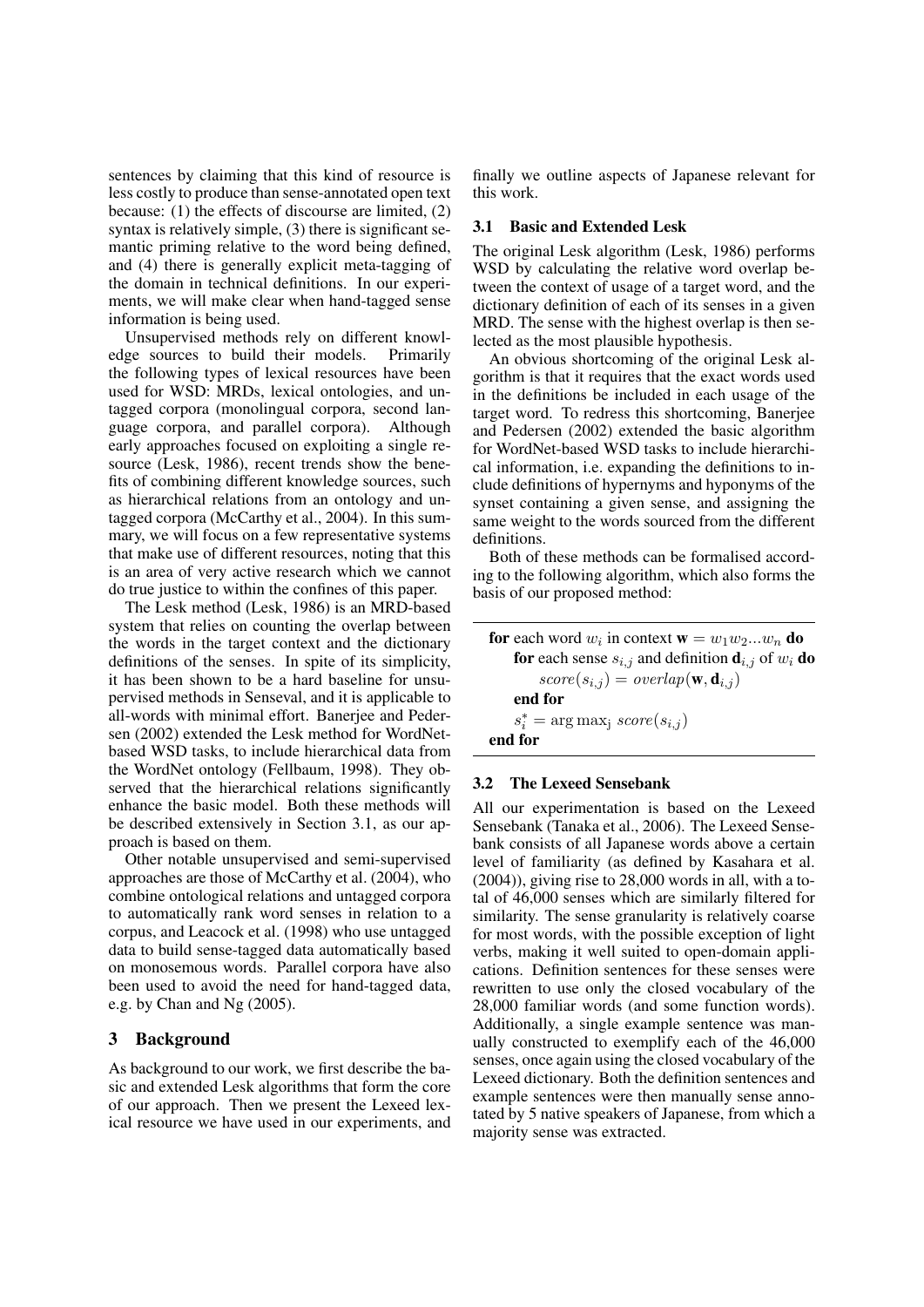sentences by claiming that this kind of resource is less costly to produce than sense-annotated open text because: (1) the effects of discourse are limited, (2) syntax is relatively simple, (3) there is significant semantic priming relative to the word being defined, and (4) there is generally explicit meta-tagging of the domain in technical definitions. In our experiments, we will make clear when hand-tagged sense information is being used.

Unsupervised methods rely on different knowledge sources to build their models. Primarily the following types of lexical resources have been used for WSD: MRDs, lexical ontologies, and untagged corpora (monolingual corpora, second language corpora, and parallel corpora). Although early approaches focused on exploiting a single resource (Lesk, 1986), recent trends show the benefits of combining different knowledge sources, such as hierarchical relations from an ontology and untagged corpora (McCarthy et al., 2004). In this summary, we will focus on a few representative systems that make use of different resources, noting that this is an area of very active research which we cannot do true justice to within the confines of this paper.

The Lesk method (Lesk, 1986) is an MRD-based system that relies on counting the overlap between the words in the target context and the dictionary definitions of the senses. In spite of its simplicity, it has been shown to be a hard baseline for unsupervised methods in Senseval, and it is applicable to all-words with minimal effort. Banerjee and Pedersen (2002) extended the Lesk method for WordNetbased WSD tasks, to include hierarchical data from the WordNet ontology (Fellbaum, 1998). They observed that the hierarchical relations significantly enhance the basic model. Both these methods will be described extensively in Section 3.1, as our approach is based on them.

Other notable unsupervised and semi-supervised approaches are those of McCarthy et al. (2004), who combine ontological relations and untagged corpora to automatically rank word senses in relation to a corpus, and Leacock et al. (1998) who use untagged data to build sense-tagged data automatically based on monosemous words. Parallel corpora have also been used to avoid the need for hand-tagged data, e.g. by Chan and Ng (2005).

### 3 Background

As background to our work, we first describe the basic and extended Lesk algorithms that form the core of our approach. Then we present the Lexeed lexical resource we have used in our experiments, and

finally we outline aspects of Japanese relevant for this work.

### 3.1 Basic and Extended Lesk

The original Lesk algorithm (Lesk, 1986) performs WSD by calculating the relative word overlap between the context of usage of a target word, and the dictionary definition of each of its senses in a given MRD. The sense with the highest overlap is then selected as the most plausible hypothesis.

An obvious shortcoming of the original Lesk algorithm is that it requires that the exact words used in the definitions be included in each usage of the target word. To redress this shortcoming, Banerjee and Pedersen (2002) extended the basic algorithm for WordNet-based WSD tasks to include hierarchical information, i.e. expanding the definitions to include definitions of hypernyms and hyponyms of the synset containing a given sense, and assigning the same weight to the words sourced from the different definitions.

Both of these methods can be formalised according to the following algorithm, which also forms the basis of our proposed method:

**for** each word  $w_i$  in context  $\mathbf{w} = w_1 w_2 ... w_n$  **do** for each sense  $s_{i,j}$  and definition  $\mathbf{d}_{i,j}$  of  $w_i$  do  $score(s_{i,j}) = overlap(\mathbf{w}, \mathbf{d}_{i,j})$ end for  $s_i^* = \arg \max_j score(s_{i,j})$ end for

#### 3.2 The Lexeed Sensebank

All our experimentation is based on the Lexeed Sensebank (Tanaka et al., 2006). The Lexeed Sensebank consists of all Japanese words above a certain level of familiarity (as defined by Kasahara et al. (2004)), giving rise to 28,000 words in all, with a total of 46,000 senses which are similarly filtered for similarity. The sense granularity is relatively coarse for most words, with the possible exception of light verbs, making it well suited to open-domain applications. Definition sentences for these senses were rewritten to use only the closed vocabulary of the 28,000 familiar words (and some function words). Additionally, a single example sentence was manually constructed to exemplify each of the 46,000 senses, once again using the closed vocabulary of the Lexeed dictionary. Both the definition sentences and example sentences were then manually sense annotated by 5 native speakers of Japanese, from which a majority sense was extracted.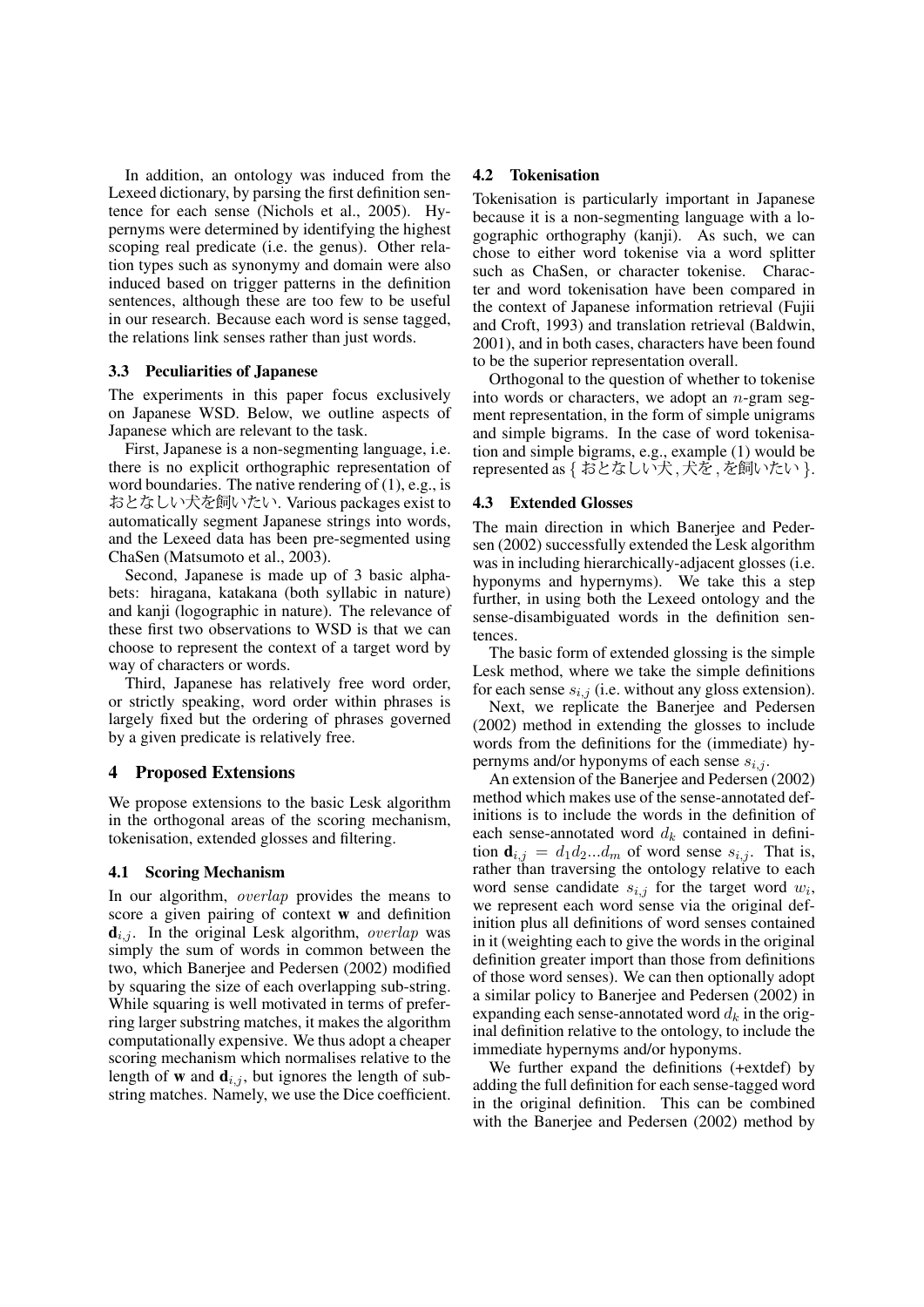In addition, an ontology was induced from the Lexeed dictionary, by parsing the first definition sentence for each sense (Nichols et al., 2005). Hypernyms were determined by identifying the highest scoping real predicate (i.e. the genus). Other relation types such as synonymy and domain were also induced based on trigger patterns in the definition sentences, although these are too few to be useful in our research. Because each word is sense tagged, the relations link senses rather than just words.

#### 3.3 Peculiarities of Japanese

The experiments in this paper focus exclusively on Japanese WSD. Below, we outline aspects of Japanese which are relevant to the task.

First, Japanese is a non-segmenting language, i.e. there is no explicit orthographic representation of word boundaries. The native rendering of (1), e.g., is おとなしい犬を飼いたい. Various packages exist to automatically segment Japanese strings into words, and the Lexeed data has been pre-segmented using ChaSen (Matsumoto et al., 2003).

Second, Japanese is made up of 3 basic alphabets: hiragana, katakana (both syllabic in nature) and kanji (logographic in nature). The relevance of these first two observations to WSD is that we can choose to represent the context of a target word by way of characters or words.

Third, Japanese has relatively free word order, or strictly speaking, word order within phrases is largely fixed but the ordering of phrases governed by a given predicate is relatively free.

### 4 Proposed Extensions

We propose extensions to the basic Lesk algorithm in the orthogonal areas of the scoring mechanism, tokenisation, extended glosses and filtering.

#### 4.1 Scoring Mechanism

In our algorithm, overlap provides the means to score a given pairing of context w and definition  $\mathbf{d}_{i,j}$ . In the original Lesk algorithm, *overlap* was simply the sum of words in common between the two, which Banerjee and Pedersen (2002) modified by squaring the size of each overlapping sub-string. While squaring is well motivated in terms of preferring larger substring matches, it makes the algorithm computationally expensive. We thus adopt a cheaper scoring mechanism which normalises relative to the length of **w** and  $\mathbf{d}_{i,j}$ , but ignores the length of substring matches. Namely, we use the Dice coefficient.

#### 4.2 Tokenisation

Tokenisation is particularly important in Japanese because it is a non-segmenting language with a logographic orthography (kanji). As such, we can chose to either word tokenise via a word splitter such as ChaSen, or character tokenise. Character and word tokenisation have been compared in the context of Japanese information retrieval (Fujii and Croft, 1993) and translation retrieval (Baldwin, 2001), and in both cases, characters have been found to be the superior representation overall.

Orthogonal to the question of whether to tokenise into words or characters, we adopt an  $n$ -gram segment representation, in the form of simple unigrams and simple bigrams. In the case of word tokenisation and simple bigrams, e.g., example (1) would be represented as { おとなしい犬,犬を,を飼いたい }.

#### 4.3 Extended Glosses

The main direction in which Banerjee and Pedersen (2002) successfully extended the Lesk algorithm was in including hierarchically-adjacent glosses (i.e. hyponyms and hypernyms). We take this a step further, in using both the Lexeed ontology and the sense-disambiguated words in the definition sentences.

The basic form of extended glossing is the simple Lesk method, where we take the simple definitions for each sense  $s_{i,j}$  (i.e. without any gloss extension).

Next, we replicate the Banerjee and Pedersen (2002) method in extending the glosses to include words from the definitions for the (immediate) hypernyms and/or hyponyms of each sense  $s_{i,j}$ .

An extension of the Banerjee and Pedersen (2002) method which makes use of the sense-annotated definitions is to include the words in the definition of each sense-annotated word  $d_k$  contained in definition  $\mathbf{d}_{i,j} = d_1 d_2 ... d_m$  of word sense  $s_{i,j}$ . That is, rather than traversing the ontology relative to each word sense candidate  $s_{i,j}$  for the target word  $w_i$ , we represent each word sense via the original definition plus all definitions of word senses contained in it (weighting each to give the words in the original definition greater import than those from definitions of those word senses). We can then optionally adopt a similar policy to Banerjee and Pedersen (2002) in expanding each sense-annotated word  $d_k$  in the original definition relative to the ontology, to include the immediate hypernyms and/or hyponyms.

We further expand the definitions (+extdef) by adding the full definition for each sense-tagged word in the original definition. This can be combined with the Banerjee and Pedersen (2002) method by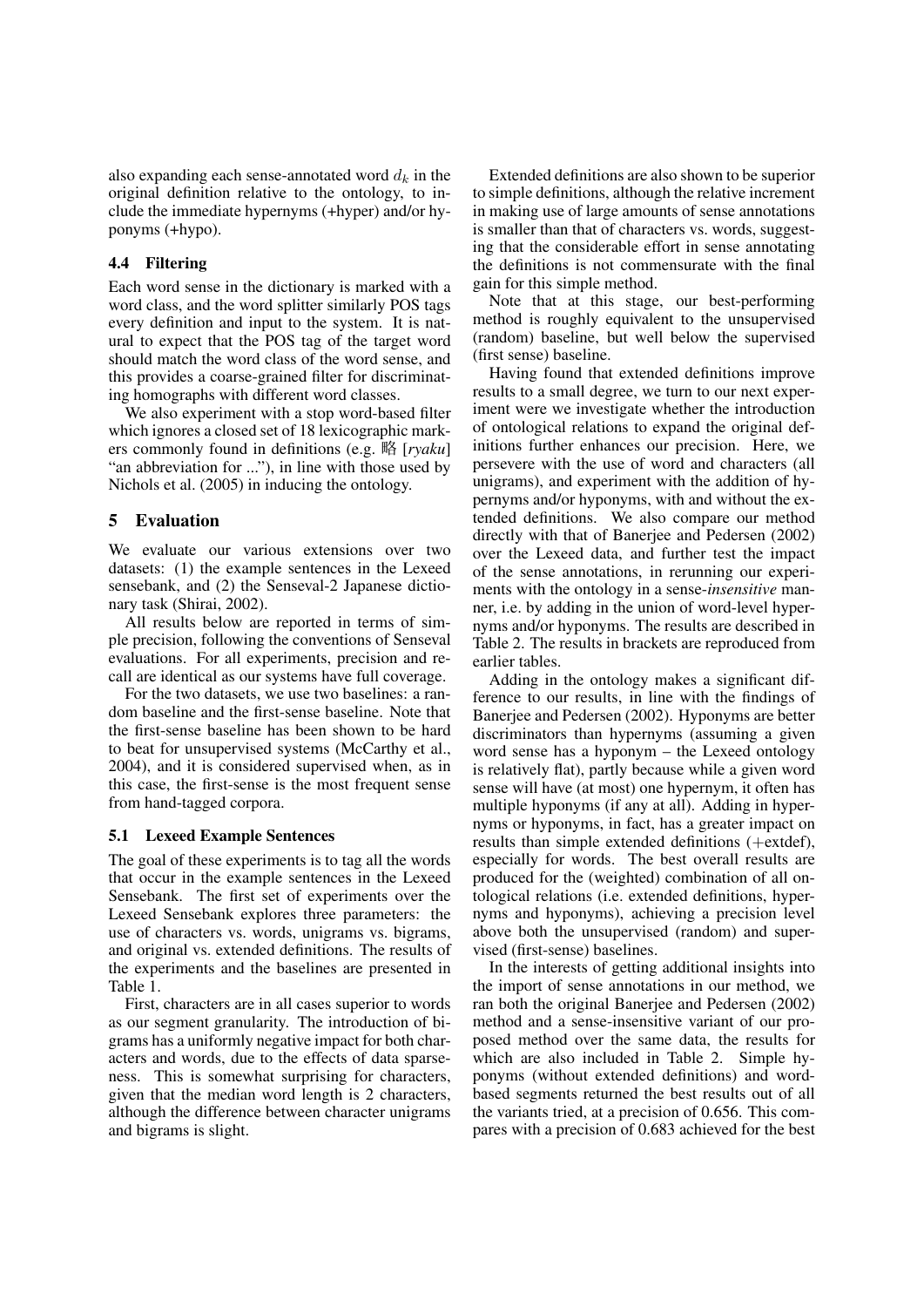also expanding each sense-annotated word  $d_k$  in the original definition relative to the ontology, to include the immediate hypernyms (+hyper) and/or hyponyms (+hypo).

### 4.4 Filtering

Each word sense in the dictionary is marked with a word class, and the word splitter similarly POS tags every definition and input to the system. It is natural to expect that the POS tag of the target word should match the word class of the word sense, and this provides a coarse-grained filter for discriminating homographs with different word classes.

We also experiment with a stop word-based filter which ignores a closed set of 18 lexicographic markers commonly found in definitions (e.g. 略 [*ryaku*] "an abbreviation for ..."), in line with those used by Nichols et al. (2005) in inducing the ontology.

### 5 Evaluation

We evaluate our various extensions over two datasets: (1) the example sentences in the Lexeed sensebank, and (2) the Senseval-2 Japanese dictionary task (Shirai, 2002).

All results below are reported in terms of simple precision, following the conventions of Senseval evaluations. For all experiments, precision and recall are identical as our systems have full coverage.

For the two datasets, we use two baselines: a random baseline and the first-sense baseline. Note that the first-sense baseline has been shown to be hard to beat for unsupervised systems (McCarthy et al., 2004), and it is considered supervised when, as in this case, the first-sense is the most frequent sense from hand-tagged corpora.

#### 5.1 Lexeed Example Sentences

The goal of these experiments is to tag all the words that occur in the example sentences in the Lexeed Sensebank. The first set of experiments over the Lexeed Sensebank explores three parameters: the use of characters vs. words, unigrams vs. bigrams, and original vs. extended definitions. The results of the experiments and the baselines are presented in Table 1.

First, characters are in all cases superior to words as our segment granularity. The introduction of bigrams has a uniformly negative impact for both characters and words, due to the effects of data sparseness. This is somewhat surprising for characters, given that the median word length is 2 characters, although the difference between character unigrams and bigrams is slight.

Extended definitions are also shown to be superior to simple definitions, although the relative increment in making use of large amounts of sense annotations is smaller than that of characters vs. words, suggesting that the considerable effort in sense annotating the definitions is not commensurate with the final gain for this simple method.

Note that at this stage, our best-performing method is roughly equivalent to the unsupervised (random) baseline, but well below the supervised (first sense) baseline.

Having found that extended definitions improve results to a small degree, we turn to our next experiment were we investigate whether the introduction of ontological relations to expand the original definitions further enhances our precision. Here, we persevere with the use of word and characters (all unigrams), and experiment with the addition of hypernyms and/or hyponyms, with and without the extended definitions. We also compare our method directly with that of Banerjee and Pedersen (2002) over the Lexeed data, and further test the impact of the sense annotations, in rerunning our experiments with the ontology in a sense-*insensitive* manner, i.e. by adding in the union of word-level hypernyms and/or hyponyms. The results are described in Table 2. The results in brackets are reproduced from earlier tables.

Adding in the ontology makes a significant difference to our results, in line with the findings of Banerjee and Pedersen (2002). Hyponyms are better discriminators than hypernyms (assuming a given word sense has a hyponym – the Lexeed ontology is relatively flat), partly because while a given word sense will have (at most) one hypernym, it often has multiple hyponyms (if any at all). Adding in hypernyms or hyponyms, in fact, has a greater impact on results than simple extended definitions (+extdef), especially for words. The best overall results are produced for the (weighted) combination of all ontological relations (i.e. extended definitions, hypernyms and hyponyms), achieving a precision level above both the unsupervised (random) and supervised (first-sense) baselines.

In the interests of getting additional insights into the import of sense annotations in our method, we ran both the original Banerjee and Pedersen (2002) method and a sense-insensitive variant of our proposed method over the same data, the results for which are also included in Table 2. Simple hyponyms (without extended definitions) and wordbased segments returned the best results out of all the variants tried, at a precision of 0.656. This compares with a precision of 0.683 achieved for the best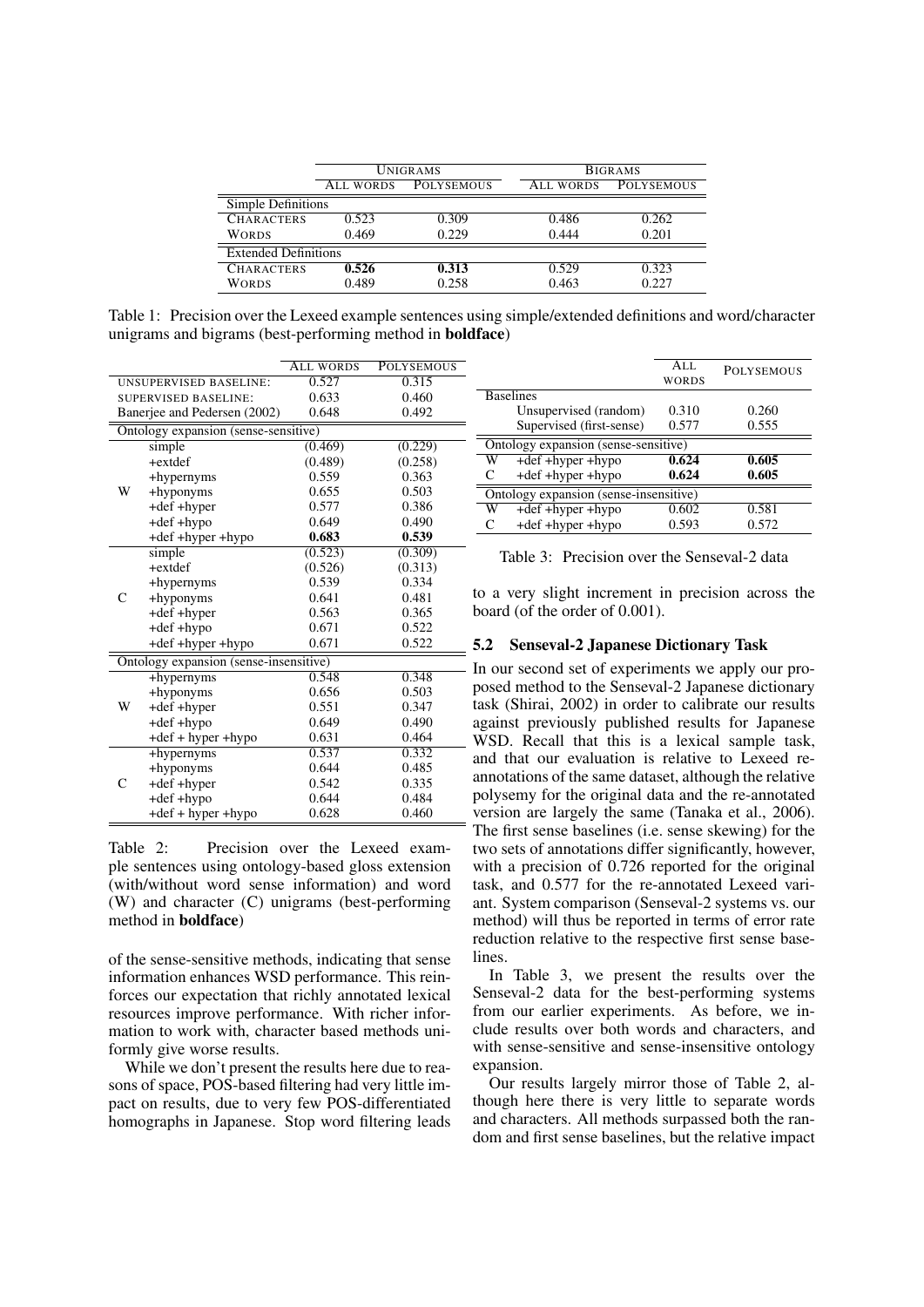|                             | <b>UNIGRAMS</b> |                   | <b>BIGRAMS</b> |                   |  |  |
|-----------------------------|-----------------|-------------------|----------------|-------------------|--|--|
|                             | ALL WORDS       | <b>POLYSEMOUS</b> | ALL WORDS      | <b>POLYSEMOUS</b> |  |  |
| Simple Definitions          |                 |                   |                |                   |  |  |
| <b>CHARACTERS</b>           | 0.523           | 0.309             | 0.486          | 0.262             |  |  |
| <b>WORDS</b>                | 0.469           | 0.229             | 0.444          | 0.201             |  |  |
| <b>Extended Definitions</b> |                 |                   |                |                   |  |  |
| <b>CHARACTERS</b>           | 0.526           | 0.313             | 0.529          | 0.323             |  |  |
| <b>WORDS</b>                | 0.489           | 0.258             | 0.463          | 0.227             |  |  |

Table 1: Precision over the Lexeed example sentences using simple/extended definitions and word/character unigrams and bigrams (best-performing method in boldface)

|                                        |                                      | <b>ALL WORDS</b> | <b>POLYSEMOUS</b> |  |  |  |
|----------------------------------------|--------------------------------------|------------------|-------------------|--|--|--|
| <b>UNSUPERVISED BASELINE:</b>          |                                      | 0.527            | 0.315             |  |  |  |
| <b>SUPERVISED BASELINE:</b>            |                                      | 0.633            | 0.460             |  |  |  |
| Banerjee and Pedersen (2002)           |                                      | 0.648            | 0.492             |  |  |  |
|                                        | Ontology expansion (sense-sensitive) |                  |                   |  |  |  |
|                                        | simple                               | (0.469)          | (0.229)           |  |  |  |
|                                        | $+$ extdef                           | (0.489)          | (0.258)           |  |  |  |
|                                        | +hypernyms                           | 0.559            | 0.363             |  |  |  |
| W                                      | +hyponyms                            | 0.655            | 0.503             |  |  |  |
|                                        | +def +hyper                          | 0.577            | 0.386             |  |  |  |
|                                        | +def +hypo                           | 0.649            | 0.490             |  |  |  |
|                                        | +def +hyper +hypo                    | 0.683            | 0.539             |  |  |  |
| $\mathsf{C}$                           | simple                               | (0.523)          | (0.309)           |  |  |  |
|                                        | $+extdef$                            | (0.526)          | (0.313)           |  |  |  |
|                                        | +hypernyms                           | 0.539            | 0.334             |  |  |  |
|                                        | +hyponyms                            | 0.641            | 0.481             |  |  |  |
|                                        | +def +hyper                          | 0.563            | 0.365             |  |  |  |
|                                        | +def +hypo                           | 0.671            | 0.522             |  |  |  |
|                                        | +def +hyper +hypo                    | 0.671            | 0.522             |  |  |  |
| Ontology expansion (sense-insensitive) |                                      |                  |                   |  |  |  |
|                                        | +hypernyms                           | 0.548            | 0.348             |  |  |  |
| W                                      | +hyponyms                            | 0.656            | 0.503             |  |  |  |
|                                        | +def +hyper                          | 0.551            | 0.347             |  |  |  |
|                                        | +def +hypo                           | 0.649            | 0.490             |  |  |  |
|                                        | +def + hyper +hypo                   | 0.631            | 0.464             |  |  |  |
|                                        | +hypernyms                           | 0.537            | 0.332             |  |  |  |
|                                        | +hyponyms                            | 0.644            | 0.485             |  |  |  |
| $\mathsf{C}$                           | +def +hyper                          | 0.542            | 0.335             |  |  |  |
|                                        | +def +hypo                           | 0.644            | 0.484             |  |  |  |
|                                        | +def + hyper +hypo                   | 0.628            | 0.460             |  |  |  |

Table 2: Precision over the Lexeed example sentences using ontology-based gloss extension (with/without word sense information) and word (W) and character (C) unigrams (best-performing method in boldface)

of the sense-sensitive methods, indicating that sense information enhances WSD performance. This reinforces our expectation that richly annotated lexical resources improve performance. With richer information to work with, character based methods uniformly give worse results.

While we don't present the results here due to reasons of space, POS-based filtering had very little impact on results, due to very few POS-differentiated homographs in Japanese. Stop word filtering leads

|                                        |                          | ALL<br><b>WORDS</b> | <b>POLYSEMOUS</b> |  |  |
|----------------------------------------|--------------------------|---------------------|-------------------|--|--|
| <b>Baselines</b>                       |                          |                     |                   |  |  |
|                                        | Unsupervised (random)    | 0.310               | 0.260             |  |  |
|                                        | Supervised (first-sense) | 0.577               | 0.555             |  |  |
| Ontology expansion (sense-sensitive)   |                          |                     |                   |  |  |
| W                                      | +def +hyper +hypo        | 0.624               | 0.605             |  |  |
| C                                      | +def +hyper +hypo        | 0.624               | 0.605             |  |  |
| Ontology expansion (sense-insensitive) |                          |                     |                   |  |  |
| W                                      | $+def + hyper + hypo$    | 0.602               | 0.581             |  |  |
|                                        | +def +hyper +hypo        | 0.593               | 0.572             |  |  |

Table 3: Precision over the Senseval-2 data

to a very slight increment in precision across the board (of the order of 0.001).

# 5.2 Senseval-2 Japanese Dictionary Task

- In our second set of experiments we apply our proposed method to the Senseval-2 Japanese dictionary task (Shirai, 2002) in order to calibrate our results against previously published results for Japanese WSD. Recall that this is a lexical sample task, and that our evaluation is relative to Lexeed reannotations of the same dataset, although the relative polysemy for the original data and the re-annotated version are largely the same (Tanaka et al., 2006). The first sense baselines (i.e. sense skewing) for the two sets of annotations differ significantly, however, with a precision of 0.726 reported for the original task, and 0.577 for the re-annotated Lexeed variant. System comparison (Senseval-2 systems vs. our method) will thus be reported in terms of error rate reduction relative to the respective first sense baselines.

In Table 3, we present the results over the Senseval-2 data for the best-performing systems from our earlier experiments. As before, we include results over both words and characters, and with sense-sensitive and sense-insensitive ontology expansion.

Our results largely mirror those of Table 2, although here there is very little to separate words and characters. All methods surpassed both the random and first sense baselines, but the relative impact